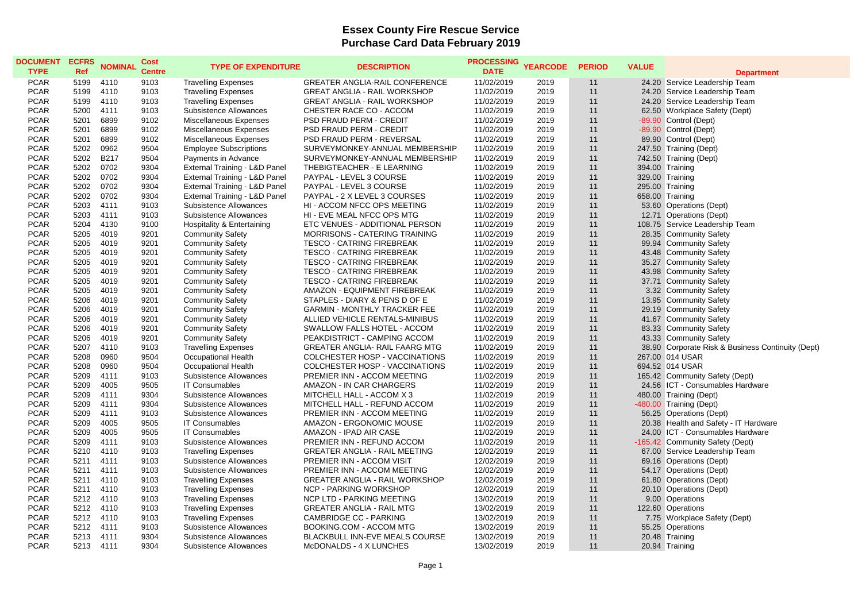## **Essex County Fire Rescue Service Purchase Card Data February 2019**

| <b>DOCUMENT</b><br><b>TYPE</b> | <b>ECFRS</b><br><b>Ref</b> | <b>NOMINAL</b> | <b>Cost</b><br><b>Centre</b> | <b>TYPE OF EXPENDITURE</b>            | <b>DESCRIPTION</b>                    | <b>PROCESSING</b><br><b>DATE</b> | <b>YEARCODE</b> | <b>PERIOD</b> | <b>VALUE</b> | <b>Department</b>                                 |
|--------------------------------|----------------------------|----------------|------------------------------|---------------------------------------|---------------------------------------|----------------------------------|-----------------|---------------|--------------|---------------------------------------------------|
| <b>PCAR</b>                    | 5199                       | 4110           | 9103                         | <b>Travelling Expenses</b>            | <b>GREATER ANGLIA-RAIL CONFERENCE</b> | 11/02/2019                       | 2019            | 11            |              | 24.20 Service Leadership Team                     |
| <b>PCAR</b>                    | 5199                       | 4110           | 9103                         | <b>Travelling Expenses</b>            | <b>GREAT ANGLIA - RAIL WORKSHOP</b>   | 11/02/2019                       | 2019            | 11            |              | 24.20 Service Leadership Team                     |
| <b>PCAR</b>                    | 5199                       | 4110           | 9103                         | <b>Travelling Expenses</b>            | <b>GREAT ANGLIA - RAIL WORKSHOP</b>   | 11/02/2019                       | 2019            | 11            |              | 24.20 Service Leadership Team                     |
| <b>PCAR</b>                    | 5200                       | 4111           | 9103                         | Subsistence Allowances                | CHESTER RACE CO - ACCOM               | 11/02/2019                       | 2019            | 11            |              | 62.50 Workplace Safety (Dept)                     |
| <b>PCAR</b>                    | 5201                       | 6899           | 9102                         | <b>Miscellaneous Expenses</b>         | PSD FRAUD PERM - CREDIT               | 11/02/2019                       | 2019            | 11            |              | -89.90 Control (Dept)                             |
| <b>PCAR</b>                    | 5201                       | 6899           | 9102                         | Miscellaneous Expenses                | PSD FRAUD PERM - CREDIT               | 11/02/2019                       | 2019            | 11            |              | -89.90 Control (Dept)                             |
| <b>PCAR</b>                    | 5201                       | 6899           | 9102                         | Miscellaneous Expenses                | PSD FRAUD PERM - REVERSAL             | 11/02/2019                       | 2019            | 11            |              | 89.90 Control (Dept)                              |
| <b>PCAR</b>                    | 5202                       | 0962           | 9504                         | <b>Employee Subscriptions</b>         | SURVEYMONKEY-ANNUAL MEMBERSHIP        | 11/02/2019                       | 2019            | 11            |              | 247.50 Training (Dept)                            |
| <b>PCAR</b>                    | 5202                       | <b>B217</b>    | 9504                         | Payments in Advance                   | SURVEYMONKEY-ANNUAL MEMBERSHIP        | 11/02/2019                       | 2019            | 11            |              | 742.50 Training (Dept)                            |
| <b>PCAR</b>                    | 5202                       | 0702           | 9304                         | External Training - L&D Panel         | THEBIGTEACHER - E LEARNING            | 11/02/2019                       | 2019            | 11            |              | 394.00 Training                                   |
| <b>PCAR</b>                    | 5202                       | 0702           | 9304                         | External Training - L&D Panel         | PAYPAL - LEVEL 3 COURSE               | 11/02/2019                       | 2019            | 11            |              | 329.00 Training                                   |
| <b>PCAR</b>                    | 5202                       | 0702           | 9304                         | External Training - L&D Panel         | PAYPAL - LEVEL 3 COURSE               | 11/02/2019                       | 2019            | 11            |              | 295.00 Training                                   |
| <b>PCAR</b>                    | 5202                       | 0702           | 9304                         | External Training - L&D Panel         | PAYPAL - 2 X LEVEL 3 COURSES          | 11/02/2019                       | 2019            | 11            |              | 658.00 Training                                   |
| <b>PCAR</b>                    | 5203                       | 4111           | 9103                         | Subsistence Allowances                | HI - ACCOM NFCC OPS MEETING           | 11/02/2019                       | 2019            | 11            |              | 53.60 Operations (Dept)                           |
| <b>PCAR</b>                    | 5203                       | 4111           | 9103                         | Subsistence Allowances                | HI - EVE MEAL NFCC OPS MTG            | 11/02/2019                       | 2019            | 11            |              | 12.71 Operations (Dept)                           |
| <b>PCAR</b>                    | 5204                       | 4130           | 9100                         | <b>Hospitality &amp; Entertaining</b> | ETC VENUES - ADDITIONAL PERSON        | 11/02/2019                       | 2019            | 11            |              | 108.75 Service Leadership Team                    |
| <b>PCAR</b>                    | 5205                       | 4019           | 9201                         | <b>Community Safety</b>               | MORRISONS - CATERING TRAINING         | 11/02/2019                       | 2019            | 11            |              | 28.35 Community Safety                            |
| <b>PCAR</b>                    | 5205                       | 4019           | 9201                         | <b>Community Safety</b>               | <b>TESCO - CATRING FIREBREAK</b>      | 11/02/2019                       | 2019            | 11            |              | 99.94 Community Safety                            |
| <b>PCAR</b>                    | 5205                       | 4019           | 9201                         | <b>Community Safety</b>               | <b>TESCO - CATRING FIREBREAK</b>      | 11/02/2019                       | 2019            | 11            |              | 43.48 Community Safety                            |
| <b>PCAR</b>                    | 5205                       | 4019           | 9201                         | <b>Community Safety</b>               | <b>TESCO - CATRING FIREBREAK</b>      | 11/02/2019                       | 2019            | 11            |              | 35.27 Community Safety                            |
| <b>PCAR</b>                    | 5205                       | 4019           | 9201                         | <b>Community Safety</b>               | <b>TESCO - CATRING FIREBREAK</b>      | 11/02/2019                       | 2019            | 11            |              | 43.98 Community Safety                            |
| <b>PCAR</b>                    | 5205                       | 4019           | 9201                         | <b>Community Safety</b>               | <b>TESCO - CATRING FIREBREAK</b>      | 11/02/2019                       | 2019            | 11            |              | 37.71 Community Safety                            |
| <b>PCAR</b>                    | 5205                       | 4019           | 9201                         | <b>Community Safety</b>               | AMAZON - EQUIPMENT FIREBREAK          | 11/02/2019                       | 2019            | 11            |              | 3.32 Community Safety                             |
| <b>PCAR</b>                    | 5206                       | 4019           | 9201                         | <b>Community Safety</b>               | STAPLES - DIARY & PENS D OF E         | 11/02/2019                       | 2019            | 11            |              | 13.95 Community Safety                            |
| <b>PCAR</b>                    | 5206                       | 4019           | 9201                         | <b>Community Safety</b>               | <b>GARMIN - MONTHLY TRACKER FEE</b>   | 11/02/2019                       | 2019            | 11            |              | 29.19 Community Safety                            |
| <b>PCAR</b>                    | 5206                       | 4019           | 9201                         | <b>Community Safety</b>               | ALLIED VEHICLE RENTALS-MINIBUS        | 11/02/2019                       | 2019            | 11            |              | 41.67 Community Safety                            |
| <b>PCAR</b>                    | 5206                       | 4019           | 9201                         | <b>Community Safety</b>               | SWALLOW FALLS HOTEL - ACCOM           | 11/02/2019                       | 2019            | 11            |              | 83.33 Community Safety                            |
| <b>PCAR</b>                    | 5206                       | 4019           | 9201                         | <b>Community Safety</b>               | PEAKDISTRICT - CAMPING ACCOM          | 11/02/2019                       | 2019            | 11            |              | 43.33 Community Safety                            |
| <b>PCAR</b>                    | 5207                       | 4110           | 9103                         | <b>Travelling Expenses</b>            | <b>GREATER ANGLIA- RAIL FAARG MTG</b> | 11/02/2019                       | 2019            | 11            |              | 38.90 Corporate Risk & Business Continuity (Dept) |
| <b>PCAR</b>                    | 5208                       | 0960           | 9504                         | Occupational Health                   | COLCHESTER HOSP - VACCINATIONS        | 11/02/2019                       | 2019            | 11            |              | 267.00 014 USAR                                   |
| <b>PCAR</b>                    | 5208                       | 0960           | 9504                         | Occupational Health                   | COLCHESTER HOSP - VACCINATIONS        | 11/02/2019                       | 2019            | 11            |              | 694.52 014 USAR                                   |
| <b>PCAR</b>                    | 5209                       | 4111           | 9103                         | Subsistence Allowances                | PREMIER INN - ACCOM MEETING           | 11/02/2019                       | 2019            | 11            |              | 165.42 Community Safety (Dept)                    |
| <b>PCAR</b>                    | 5209                       | 4005           | 9505                         | <b>IT Consumables</b>                 | AMAZON - IN CAR CHARGERS              | 11/02/2019                       | 2019            | 11            |              | 24.56 ICT - Consumables Hardware                  |
| <b>PCAR</b>                    | 5209                       | 4111           | 9304                         | Subsistence Allowances                | MITCHELL HALL - ACCOM X 3             | 11/02/2019                       | 2019            | 11            |              | 480.00 Training (Dept)                            |
| <b>PCAR</b>                    | 5209                       | 4111           | 9304                         | Subsistence Allowances                | MITCHELL HALL - REFUND ACCOM          | 11/02/2019                       | 2019            | 11            |              | -480.00 Training (Dept)                           |
| <b>PCAR</b>                    | 5209                       | 4111           | 9103                         | Subsistence Allowances                | PREMIER INN - ACCOM MEETING           | 11/02/2019                       | 2019            | 11            |              | 56.25 Operations (Dept)                           |
| <b>PCAR</b>                    | 5209                       | 4005           | 9505                         | <b>IT Consumables</b>                 | AMAZON - ERGONOMIC MOUSE              | 11/02/2019                       | 2019            | 11            |              | 20.38 Health and Safety - IT Hardware             |
| <b>PCAR</b>                    | 5209                       | 4005           | 9505                         | <b>IT Consumables</b>                 | AMAZON - IPAD AIR CASE                | 11/02/2019                       | 2019            | 11            |              | 24.00 ICT - Consumables Hardware                  |
| <b>PCAR</b>                    | 5209                       | 4111           | 9103                         | Subsistence Allowances                | PREMIER INN - REFUND ACCOM            | 11/02/2019                       | 2019            | 11            |              | -165.42 Community Safety (Dept)                   |
| <b>PCAR</b>                    | 5210                       | 4110           | 9103                         | <b>Travelling Expenses</b>            | <b>GREATER ANGLIA - RAIL MEETING</b>  | 12/02/2019                       | 2019            | 11            |              | 67.00 Service Leadership Team                     |
| <b>PCAR</b>                    | 5211                       | 4111           | 9103                         | Subsistence Allowances                | PREMIER INN - ACCOM VISIT             | 12/02/2019                       | 2019            | 11            |              | 69.16 Operations (Dept)                           |
| <b>PCAR</b>                    | 5211                       | 4111           | 9103                         | Subsistence Allowances                | PREMIER INN - ACCOM MEETING           | 12/02/2019                       | 2019            | 11            |              | 54.17 Operations (Dept)                           |
| <b>PCAR</b>                    | 5211                       | 4110           | 9103                         | <b>Travelling Expenses</b>            | <b>GREATER ANGLIA - RAIL WORKSHOP</b> | 12/02/2019                       | 2019            | 11            |              | 61.80 Operations (Dept)                           |
| <b>PCAR</b>                    | 5211                       | 4110           | 9103                         | <b>Travelling Expenses</b>            | <b>NCP - PARKING WORKSHOP</b>         | 12/02/2019                       | 2019            | 11            |              | 20.10 Operations (Dept)                           |
| <b>PCAR</b>                    | 5212                       | 4110           | 9103                         | <b>Travelling Expenses</b>            | NCP LTD - PARKING MEETING             | 13/02/2019                       | 2019            | 11            |              | 9.00 Operations                                   |
| <b>PCAR</b>                    | 5212                       | 4110           | 9103                         | <b>Travelling Expenses</b>            | <b>GREATER ANGLIA - RAIL MTG</b>      | 13/02/2019                       | 2019            | 11            |              | 122.60 Operations                                 |
| <b>PCAR</b>                    | 5212                       | 4110           | 9103                         | <b>Travelling Expenses</b>            | <b>CAMBRIDGE CC - PARKING</b>         | 13/02/2019                       | 2019            | 11            |              | 7.75 Workplace Safety (Dept)                      |
| <b>PCAR</b>                    | 5212                       | 4111           | 9103                         | Subsistence Allowances                | BOOKING.COM - ACCOM MTG               | 13/02/2019                       | 2019            | 11            |              | 55.25 Operations                                  |
| <b>PCAR</b>                    | 5213                       | 4111           | 9304                         | Subsistence Allowances                | BLACKBULL INN-EVE MEALS COURSE        | 13/02/2019                       | 2019            | 11            |              | 20.48 Training                                    |
| <b>PCAR</b>                    | 5213                       | 4111           | 9304                         | Subsistence Allowances                | McDONALDS - 4 X LUNCHES               | 13/02/2019                       | 2019            | 11            |              | 20.94 Training                                    |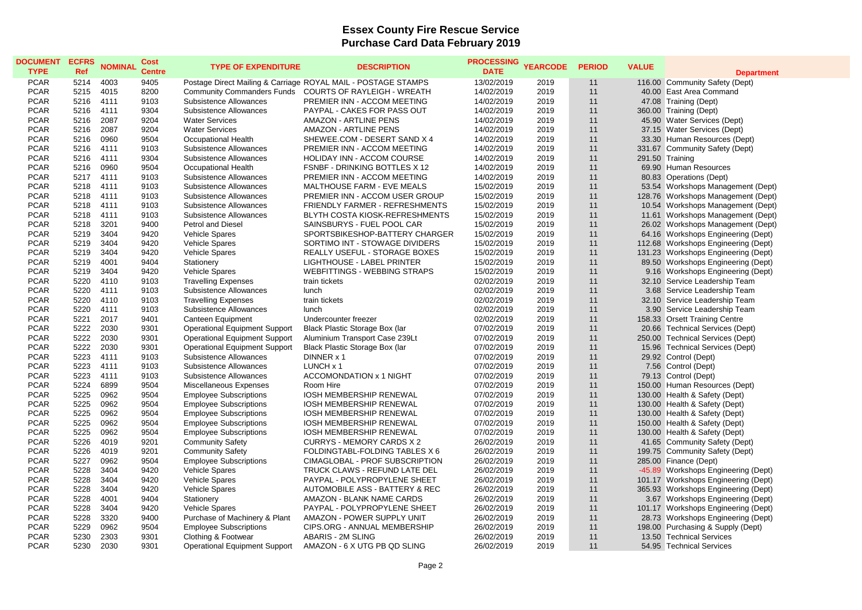## **Essex County Fire Rescue Service Purchase Card Data February 2019**

| <b>DOCUMENT</b><br><b>TYPE</b> | <b>ECFRS</b><br><b>Ref</b> | <b>NOMINAL</b> | <b>Cost</b><br><b>Centre</b> | <b>TYPE OF EXPENDITURE</b>           | <b>DESCRIPTION</b>                                            | PROCESSING YEARCODE<br><b>DATE</b> |              | <b>PERIOD</b> | <b>VALUE</b> | <b>Department</b>                   |
|--------------------------------|----------------------------|----------------|------------------------------|--------------------------------------|---------------------------------------------------------------|------------------------------------|--------------|---------------|--------------|-------------------------------------|
| <b>PCAR</b>                    | 5214                       | 4003           | 9405                         |                                      | Postage Direct Mailing & Carriage ROYAL MAIL - POSTAGE STAMPS | 13/02/2019                         | 2019         | 11            |              | 116.00 Community Safety (Dept)      |
| <b>PCAR</b>                    | 5215                       | 4015           | 8200                         | <b>Community Commanders Funds</b>    | <b>COURTS OF RAYLEIGH - WREATH</b>                            | 14/02/2019                         | 2019         | 11            |              | 40.00 East Area Command             |
| <b>PCAR</b>                    | 5216                       | 4111           | 9103                         | Subsistence Allowances               | PREMIER INN - ACCOM MEETING                                   | 14/02/2019                         | 2019         | 11            |              | 47.08 Training (Dept)               |
| <b>PCAR</b>                    | 5216                       | 4111           | 9304                         | Subsistence Allowances               | PAYPAL - CAKES FOR PASS OUT                                   | 14/02/2019                         | 2019         | 11            |              | 360.00 Training (Dept)              |
| <b>PCAR</b>                    | 5216                       | 2087           | 9204                         | <b>Water Services</b>                | <b>AMAZON - ARTLINE PENS</b>                                  | 14/02/2019                         | 2019         | 11            |              | 45.90 Water Services (Dept)         |
| <b>PCAR</b>                    | 5216                       | 2087           | 9204                         | <b>Water Services</b>                | <b>AMAZON - ARTLINE PENS</b>                                  | 14/02/2019                         | 2019         | 11            |              | 37.15 Water Services (Dept)         |
| <b>PCAR</b>                    | 5216                       | 0960           | 9504                         | <b>Occupational Health</b>           | SHEWEE.COM - DESERT SAND X 4                                  | 14/02/2019                         | 2019         | 11            |              | 33.30 Human Resources (Dept)        |
| <b>PCAR</b>                    | 5216                       | 4111           | 9103                         | Subsistence Allowances               | PREMIER INN - ACCOM MEETING                                   | 14/02/2019                         | 2019         | 11            |              | 331.67 Community Safety (Dept)      |
| <b>PCAR</b>                    | 5216                       | 4111           | 9304                         | Subsistence Allowances               | HOLIDAY INN - ACCOM COURSE                                    | 14/02/2019                         | 2019         | 11            |              | 291.50 Training                     |
| <b>PCAR</b>                    | 5216                       | 0960           | 9504                         | Occupational Health                  | FSNBF - DRINKING BOTTLES X 12                                 | 14/02/2019                         | 2019         | 11            |              | 69.90 Human Resources               |
| <b>PCAR</b>                    | 5217                       | 4111           | 9103                         | Subsistence Allowances               | PREMIER INN - ACCOM MEETING                                   | 14/02/2019                         | 2019         | 11            |              | 80.83 Operations (Dept)             |
| <b>PCAR</b>                    | 5218                       | 4111           | 9103                         | Subsistence Allowances               | MALTHOUSE FARM - EVE MEALS                                    | 15/02/2019                         | 2019         | 11            |              | 53.54 Workshops Management (Dept)   |
| <b>PCAR</b>                    | 5218                       | 4111           | 9103                         | Subsistence Allowances               | PREMIER INN - ACCOM USER GROUP                                | 15/02/2019                         | 2019         | 11            |              | 128.76 Workshops Management (Dept)  |
| <b>PCAR</b>                    | 5218                       | 4111           | 9103                         | <b>Subsistence Allowances</b>        | <b>FRIENDLY FARMER - REFRESHMENTS</b>                         | 15/02/2019                         | 2019         | 11            |              | 10.54 Workshops Management (Dept)   |
| <b>PCAR</b>                    | 5218                       | 4111           | 9103                         | Subsistence Allowances               | BLYTH COSTA KIOSK-REFRESHMENTS                                | 15/02/2019                         | 2019         | 11            |              | 11.61 Workshops Management (Dept)   |
| <b>PCAR</b>                    | 5218                       | 3201           | 9400                         | <b>Petrol and Diesel</b>             | SAINSBURYS - FUEL POOL CAR                                    | 15/02/2019                         | 2019         | 11            |              | 26.02 Workshops Management (Dept)   |
| <b>PCAR</b>                    | 5219                       | 3404           | 9420                         | <b>Vehicle Spares</b>                | SPORTSBIKESHOP-BATTERY CHARGER                                | 15/02/2019                         | 2019         | 11            |              | 64.16 Workshops Engineering (Dept)  |
| <b>PCAR</b>                    | 5219                       | 3404           | 9420                         | <b>Vehicle Spares</b>                | SORTIMO INT - STOWAGE DIVIDERS                                | 15/02/2019                         | 2019         | 11            |              | 112.68 Workshops Engineering (Dept) |
| <b>PCAR</b>                    | 5219                       | 3404           | 9420                         | Vehicle Spares                       | REALLY USEFUL - STORAGE BOXES                                 | 15/02/2019                         | 2019         | 11            |              | 131.23 Workshops Engineering (Dept) |
| <b>PCAR</b>                    | 5219                       | 4001           | 9404                         | Stationery                           | LIGHTHOUSE - LABEL PRINTER                                    | 15/02/2019                         | 2019         | 11            |              | 89.50 Workshops Engineering (Dept)  |
| <b>PCAR</b>                    | 5219                       | 3404           | 9420                         | <b>Vehicle Spares</b>                | <b>WEBFITTINGS - WEBBING STRAPS</b>                           | 15/02/2019                         | 2019         | 11            |              | 9.16 Workshops Engineering (Dept)   |
| <b>PCAR</b>                    | 5220                       | 4110           | 9103                         | <b>Travelling Expenses</b>           | train tickets                                                 | 02/02/2019                         | 2019         | 11            | 32.10        | Service Leadership Team             |
| <b>PCAR</b>                    | 5220                       | 4111           | 9103                         | Subsistence Allowances               | lunch                                                         | 02/02/2019                         | 2019         | 11            |              | 3.68 Service Leadership Team        |
| <b>PCAR</b>                    | 5220                       | 4110           | 9103                         | <b>Travelling Expenses</b>           | train tickets                                                 | 02/02/2019                         | 2019         | 11            |              | 32.10 Service Leadership Team       |
| <b>PCAR</b>                    | 5220                       | 4111           | 9103                         | Subsistence Allowances               | lunch                                                         | 02/02/2019                         | 2019         | 11            |              | 3.90 Service Leadership Team        |
| <b>PCAR</b>                    | 5221                       | 2017           | 9401                         | Canteen Equipment                    | Undercounter freezer                                          | 02/02/2019                         | 2019         | 11            |              | 158.33 Orsett Training Centre       |
| <b>PCAR</b>                    | 5222                       | 2030           | 9301                         | <b>Operational Equipment Support</b> | Black Plastic Storage Box (lar                                | 07/02/2019                         | 2019         | 11            |              | 20.66 Technical Services (Dept)     |
| <b>PCAR</b>                    | 5222                       | 2030           | 9301                         | <b>Operational Equipment Support</b> | Aluminium Transport Case 239Lt                                | 07/02/2019                         | 2019         | 11            |              | 250.00 Technical Services (Dept)    |
| <b>PCAR</b>                    | 5222                       | 2030           | 9301                         | <b>Operational Equipment Support</b> | Black Plastic Storage Box (lar                                | 07/02/2019                         | 2019         | 11            |              | 15.96 Technical Services (Dept)     |
| <b>PCAR</b>                    | 5223                       | 4111           | 9103                         | Subsistence Allowances               | DINNER x 1                                                    | 07/02/2019                         | 2019         | 11            |              | 29.92 Control (Dept)                |
| <b>PCAR</b>                    | 5223                       | 4111           | 9103                         | Subsistence Allowances               | LUNCH x 1                                                     | 07/02/2019                         | 2019         | 11            |              | 7.56 Control (Dept)                 |
| <b>PCAR</b>                    | 5223                       | 4111           | 9103                         | Subsistence Allowances               | <b>ACCOMONDATION x 1 NIGHT</b>                                | 07/02/2019                         | 2019         | 11            |              | 79.13 Control (Dept)                |
| <b>PCAR</b>                    | 5224                       | 6899           | 9504                         | <b>Miscellaneous Expenses</b>        | Room Hire                                                     | 07/02/2019                         | 2019         | 11            |              | 150.00 Human Resources (Dept)       |
| <b>PCAR</b>                    | 5225                       | 0962           | 9504                         | <b>Employee Subscriptions</b>        | <b>IOSH MEMBERSHIP RENEWAL</b>                                | 07/02/2019                         | 2019         | 11            |              | 130.00 Health & Safety (Dept)       |
| <b>PCAR</b>                    | 5225                       | 0962           | 9504                         | <b>Employee Subscriptions</b>        | IOSH MEMBERSHIP RENEWAL                                       | 07/02/2019                         | 2019         | 11            |              | 130.00 Health & Safety (Dept)       |
| <b>PCAR</b>                    | 5225                       | 0962           | 9504                         | <b>Employee Subscriptions</b>        | <b>IOSH MEMBERSHIP RENEWAL</b>                                | 07/02/2019                         | 2019         | 11            |              | 130.00 Health & Safety (Dept)       |
| <b>PCAR</b>                    | 5225                       | 0962           | 9504                         | <b>Employee Subscriptions</b>        | IOSH MEMBERSHIP RENEWAL                                       | 07/02/2019                         | 2019         | 11            |              | 150.00 Health & Safety (Dept)       |
| <b>PCAR</b>                    | 5225                       | 0962           | 9504                         | <b>Employee Subscriptions</b>        | <b>IOSH MEMBERSHIP RENEWAL</b>                                | 07/02/2019                         | 2019         | 11            |              | 130.00 Health & Safety (Dept)       |
| <b>PCAR</b>                    | 5226                       | 4019           | 9201                         | <b>Community Safety</b>              | <b>CURRYS - MEMORY CARDS X 2</b>                              | 26/02/2019                         | 2019         | 11            |              | 41.65 Community Safety (Dept)       |
| <b>PCAR</b>                    | 5226                       | 4019           | 9201                         | <b>Community Safety</b>              | FOLDINGTABL-FOLDING TABLES X 6                                | 26/02/2019                         | 2019         | 11            |              | 199.75 Community Safety (Dept)      |
| <b>PCAR</b>                    | 5227                       | 0962           | 9504                         | <b>Employee Subscriptions</b>        | CIMAGLOBAL - PROF SUBSCRIPTION                                | 26/02/2019                         | 2019         | 11            |              | 285.00 Finance (Dept)               |
| <b>PCAR</b>                    | 5228                       | 3404           | 9420                         | <b>Vehicle Spares</b>                | TRUCK CLAWS - REFUND LATE DEL                                 | 26/02/2019                         | 2019         | 11            |              | -45.89 Workshops Engineering (Dept) |
| <b>PCAR</b>                    | 5228                       | 3404           | 9420                         | <b>Vehicle Spares</b>                | PAYPAL - POLYPROPYLENE SHEET                                  | 26/02/2019                         | 2019         | 11            |              | 101.17 Workshops Engineering (Dept) |
| <b>PCAR</b>                    | 5228                       | 3404           | 9420                         | <b>Vehicle Spares</b>                | <b>AUTOMOBILE ASS - BATTERY &amp; REC</b>                     | 26/02/2019                         | 2019         | 11            |              | 365.93 Workshops Engineering (Dept) |
| <b>PCAR</b>                    | 5228                       | 4001           | 9404                         | Stationery                           | AMAZON - BLANK NAME CARDS                                     | 26/02/2019                         | 2019         | 11            |              | 3.67 Workshops Engineering (Dept)   |
| <b>PCAR</b>                    | 5228<br>5228               | 3404           | 9420                         | <b>Vehicle Spares</b>                | PAYPAL - POLYPROPYLENE SHEET                                  | 26/02/2019                         | 2019         | 11            |              | 101.17 Workshops Engineering (Dept) |
| <b>PCAR</b>                    |                            | 3320           | 9400                         | Purchase of Machinery & Plant        | AMAZON - POWER SUPPLY UNIT                                    | 26/02/2019                         | 2019         | 11            |              | 28.73 Workshops Engineering (Dept)  |
| <b>PCAR</b><br><b>PCAR</b>     | 5229<br>5230               | 0962           | 9504                         | <b>Employee Subscriptions</b>        | CIPS.ORG - ANNUAL MEMBERSHIP                                  | 26/02/2019                         | 2019<br>2019 | 11<br>11      |              | 198.00 Purchasing & Supply (Dept)   |
|                                |                            | 2303           | 9301                         | Clothing & Footwear                  | ABARIS - 2M SLING                                             | 26/02/2019                         | 2019         |               |              | 13.50 Technical Services            |
| <b>PCAR</b>                    | 5230                       | 2030           | 9301                         | <b>Operational Equipment Support</b> | AMAZON - 6 X UTG PB QD SLING                                  | 26/02/2019                         |              | 11            |              | 54.95 Technical Services            |